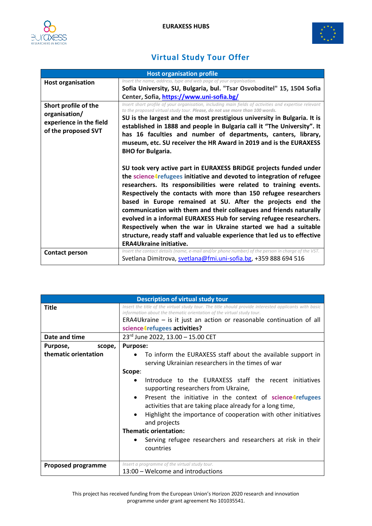



## **Virtual Study Tour Offer**

| <b>Host organisation profile</b>                                                        |                                                                                                                                                                                                                                                                                                                                                                                                                                                                                                                                                                                                                                                                                |
|-----------------------------------------------------------------------------------------|--------------------------------------------------------------------------------------------------------------------------------------------------------------------------------------------------------------------------------------------------------------------------------------------------------------------------------------------------------------------------------------------------------------------------------------------------------------------------------------------------------------------------------------------------------------------------------------------------------------------------------------------------------------------------------|
| <b>Host organisation</b>                                                                | Insert the name, address, type and web page of your organisation.<br>Sofia University, SU, Bulgaria, bul. "Tsar Osvoboditel" 15, 1504 Sofia<br>Center, Sofia, https://www.uni-sofia.bg/                                                                                                                                                                                                                                                                                                                                                                                                                                                                                        |
| Short profile of the<br>organisation/<br>experience in the field<br>of the proposed SVT | Insert short profile of your organisation, including main fields of activities and expertise relevant<br>to the proposed virtual study tour. Please, do not use more than 100 words.<br>SU is the largest and the most prestigious university in Bulgaria. It is<br>established in 1888 and people in Bulgaria call it "The University". It<br>has 16 faculties and number of departments, canters, library,<br>museum, etc. SU receiver the HR Award in 2019 and is the EURAXESS<br><b>BHO</b> for Bulgaria.                                                                                                                                                                  |
|                                                                                         | SU took very active part in EURAXESS BRIDGE projects funded under<br>the science4refugees initiative and devoted to integration of refugee<br>researchers. Its responsibilities were related to training events.<br>Respectively the contacts with more than 150 refugee researchers<br>based in Europe remained at SU. After the projects end the<br>communication with them and their colleagues and friends naturally<br>evolved in a informal EURAXESS Hub for serving refugee researchers.<br>Respectively when the war in Ukraine started we had a suitable<br>structure, ready staff and valuable experience that led us to effective<br><b>ERA4Ukraine initiative.</b> |
| Contact person                                                                          | Insert the contact details (name, e-mail and/or phone number) of the person in charge of the VST.<br>Svetlana Dimitrova, svetlana@fmi.uni-sofia.bg, +359 888 694 516                                                                                                                                                                                                                                                                                                                                                                                                                                                                                                           |

| <b>Description of virtual study tour</b> |                                                                                                                                                                                                                                                                                                                                                                                                                                                |
|------------------------------------------|------------------------------------------------------------------------------------------------------------------------------------------------------------------------------------------------------------------------------------------------------------------------------------------------------------------------------------------------------------------------------------------------------------------------------------------------|
| <b>Title</b>                             | Insert the title of the virtual study tour. The title should provide interested applicants with basic<br>information about the thematic orientation of the virtual study tour.                                                                                                                                                                                                                                                                 |
|                                          | ERA4U kraine $-$ is it just an action or reasonable continuation of all                                                                                                                                                                                                                                                                                                                                                                        |
|                                          | science4refugees activities?                                                                                                                                                                                                                                                                                                                                                                                                                   |
| Date and time                            | 23rd June 2022, 13.00 - 15.00 CET                                                                                                                                                                                                                                                                                                                                                                                                              |
| Purpose,<br>scope,                       | <b>Purpose:</b>                                                                                                                                                                                                                                                                                                                                                                                                                                |
| thematic orientation                     | To inform the EURAXESS staff about the available support in<br>serving Ukrainian researchers in the times of war                                                                                                                                                                                                                                                                                                                               |
|                                          | Scope:<br>Introduce to the EURAXESS staff the recent initiatives<br>supporting researchers from Ukraine,<br>Present the initiative in the context of science4refugees<br>$\bullet$<br>activities that are taking place already for a long time,<br>Highlight the importance of cooperation with other initiatives<br>and projects<br><b>Thematic orientation:</b><br>Serving refugee researchers and researchers at risk in their<br>countries |
| <b>Proposed programme</b>                | Insert a programme of the virtual study tour.<br>13:00 - Welcome and introductions                                                                                                                                                                                                                                                                                                                                                             |